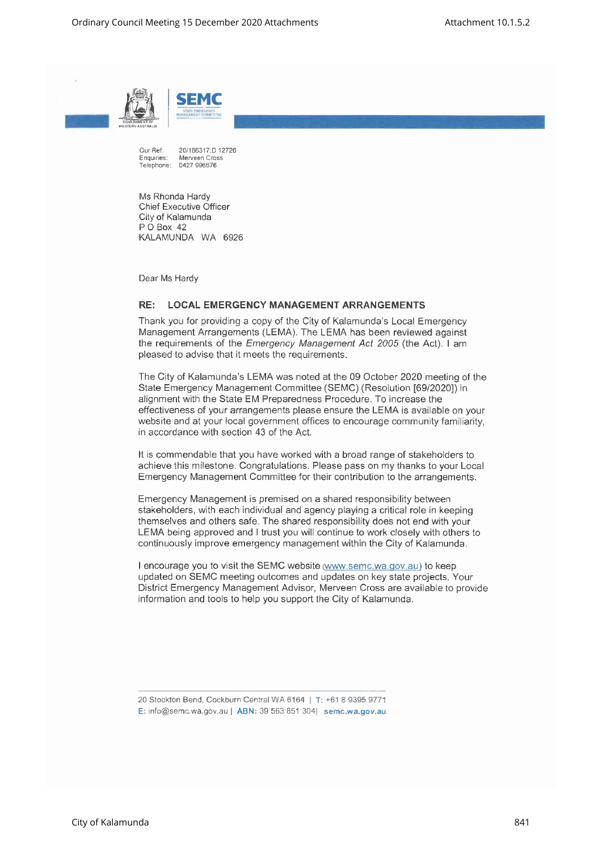



Our Ref: 20/186317:D 12726<br>Enquiries: Merveen Cross Merveen Cross Telephone: 0427 996676

Ms Rhonda Hardy Chief Executive Officer City of Kalamunda P O Box 42 KALAMUNDA WA 6926

Dear Ms Hardy

## **RE: LOCAL EMERGENCYMANAGEMENTARRANGEMENTS**

Thank you for providing a copy of the City of Kalamunda's Local Emergency Management Arrangements (LEMA). The LEMA has been reviewed against the requirements of the *Emergency Management Act* 2005 (the Act). I am pleased to advise that it meets the requirements.

The City of Kalamunda's LEMA was noted at the 09 October 2020 meeting of the State Emergency Management Committee (SEMC) (Resolution [69/2020]) in alignment with the State EM Preparedness Procedure. To increase the effectiveness of your arrangements please ensure the LEMA is available on your website and at your local government offices to encourage community familiarity, in accordance with section 43 of the Act.

It is commendable that you have worked with a broad range of stakeholders to achieve this milestone. Congratulations. Please pass on my thanks to your Local Emergency Management Committee for their contribution to the arrangements.

Emergency Management is premised on a shared responsibility between stakeholders, with each individual and agency playing a critical role in keeping themselves and others safe. The shared responsibility does not end with your LEMA being approved and I trust you will continue to work closely with others to continuously improve emergency management within the City of Kalamunda.

I encourage you to visit the SEMC website (www.semc.wa.gov.au) to keep updated on SEMC meeting outcomes and updates on key state projects. Your District Emergency Management Advisor, Merveen Cross are available to provide information and tools to help you support the City of Kalamunda.

E: [info@semc.wa.gov.a](mailto:info@semc.wa.gov.au)u| ABN: 39 563851304| semc.wa.gov.au

<sup>20</sup>StocktonBend,CockburnCentralWA 6164 <sup>|</sup> T: +61 8 9395 9771